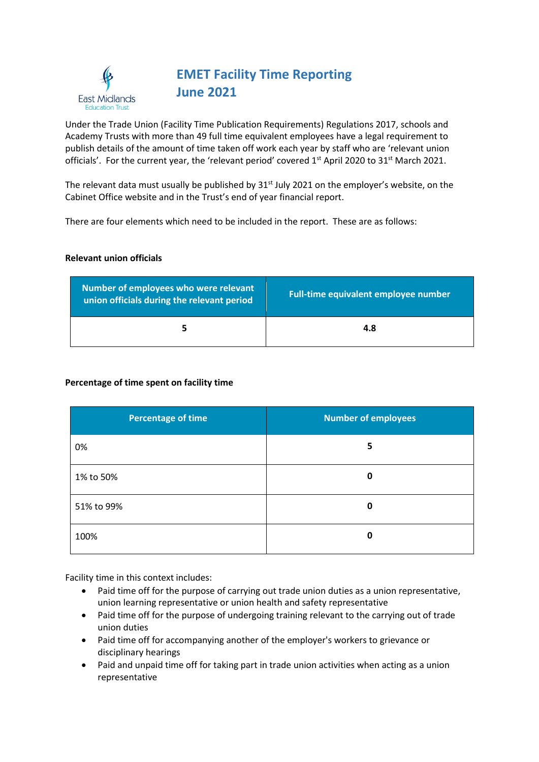

# **EMET Facility Time Reporting June 2021**

Under the Trade Union (Facility Time Publication Requirements) Regulations 2017, schools and Academy Trusts with more than 49 full time equivalent employees have a legal requirement to publish details of the amount of time taken off work each year by staff who are 'relevant union officials'. For the current year, the 'relevant period' covered 1<sup>st</sup> April 2020 to 31<sup>st</sup> March 2021.

The relevant data must usually be published by  $31<sup>st</sup>$  July 2021 on the employer's website, on the Cabinet Office website and in the Trust's end of year financial report.

There are four elements which need to be included in the report. These are as follows:

### **Relevant union officials**

| Number of employees who were relevant<br>union officials during the relevant period | <b>Full-time equivalent employee number</b> |
|-------------------------------------------------------------------------------------|---------------------------------------------|
|                                                                                     | 4.8                                         |

## **Percentage of time spent on facility time**

| <b>Percentage of time</b> | <b>Number of employees</b> |
|---------------------------|----------------------------|
| 0%                        | 5                          |
| 1% to 50%                 | 0                          |
| 51% to 99%                | 0                          |
| 100%                      | 0                          |

Facility time in this context includes:

- Paid time off for the purpose of carrying out trade union duties as a union representative, union learning representative or union health and safety representative
- Paid time off for the purpose of undergoing training relevant to the carrying out of trade union duties
- Paid time off for accompanying another of the employer's workers to grievance or disciplinary hearings
- Paid and unpaid time off for taking part in trade union activities when acting as a union representative